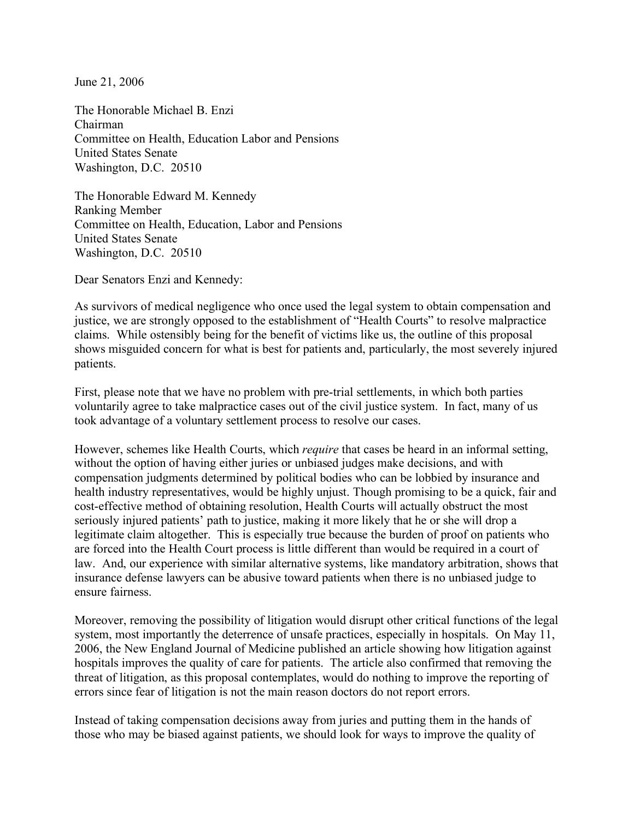June 21, 2006

The Honorable Michael B. Enzi Chairman Committee on Health, Education Labor and Pensions United States Senate Washington, D.C. 20510

The Honorable Edward M. Kennedy Ranking Member Committee on Health, Education, Labor and Pensions United States Senate Washington, D.C. 20510

Dear Senators Enzi and Kennedy:

As survivors of medical negligence who once used the legal system to obtain compensation and justice, we are strongly opposed to the establishment of "Health Courts" to resolve malpractice claims. While ostensibly being for the benefit of victims like us, the outline of this proposal shows misguided concern for what is best for patients and, particularly, the most severely injured patients.

First, please note that we have no problem with pre-trial settlements, in which both parties voluntarily agree to take malpractice cases out of the civil justice system. In fact, many of us took advantage of a voluntary settlement process to resolve our cases.

However, schemes like Health Courts, which *require* that cases be heard in an informal setting, without the option of having either juries or unbiased judges make decisions, and with compensation judgments determined by political bodies who can be lobbied by insurance and health industry representatives, would be highly unjust. Though promising to be a quick, fair and cost-effective method of obtaining resolution, Health Courts will actually obstruct the most seriously injured patients' path to justice, making it more likely that he or she will drop a legitimate claim altogether. This is especially true because the burden of proof on patients who are forced into the Health Court process is little different than would be required in a court of law. And, our experience with similar alternative systems, like mandatory arbitration, shows that insurance defense lawyers can be abusive toward patients when there is no unbiased judge to ensure fairness.

Moreover, removing the possibility of litigation would disrupt other critical functions of the legal system, most importantly the deterrence of unsafe practices, especially in hospitals. On May 11, 2006, the New England Journal of Medicine published an article showing how litigation against hospitals improves the quality of care for patients. The article also confirmed that removing the threat of litigation, as this proposal contemplates, would do nothing to improve the reporting of errors since fear of litigation is not the main reason doctors do not report errors.

Instead of taking compensation decisions away from juries and putting them in the hands of those who may be biased against patients, we should look for ways to improve the quality of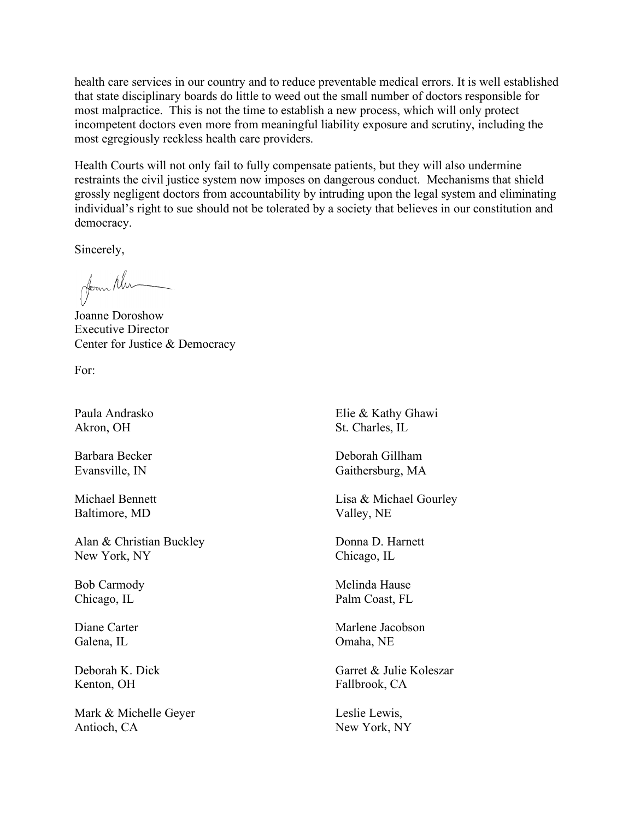health care services in our country and to reduce preventable medical errors. It is well established that state disciplinary boards do little to weed out the small number of doctors responsible for most malpractice. This is not the time to establish a new process, which will only protect incompetent doctors even more from meaningful liability exposure and scrutiny, including the most egregiously reckless health care providers.

Health Courts will not only fail to fully compensate patients, but they will also undermine restraints the civil justice system now imposes on dangerous conduct. Mechanisms that shield grossly negligent doctors from accountability by intruding upon the legal system and eliminating individual's right to sue should not be tolerated by a society that believes in our constitution and democracy.

Sincerely,

from Nu

Joanne Doroshow Executive Director Center for Justice & Democracy

For:

Paula Andrasko Akron, OH

Barbara Becker Evansville, IN

Michael Bennett Baltimore, MD

Alan & Christian Buckley New York, NY

Bob Carmody Chicago, IL

Diane Carter Galena, IL

Deborah K. Dick Kenton, OH

Mark & Michelle Geyer Antioch, CA

Elie & Kathy Ghawi St. Charles, IL

Deborah Gillham Gaithersburg, MA

Lisa & Michael Gourley Valley, NE

Donna D. Harnett Chicago, IL

Melinda Hause Palm Coast, FL

Marlene Jacobson Omaha, NE

Garret & Julie Koleszar Fallbrook, CA

Leslie Lewis, New York, NY